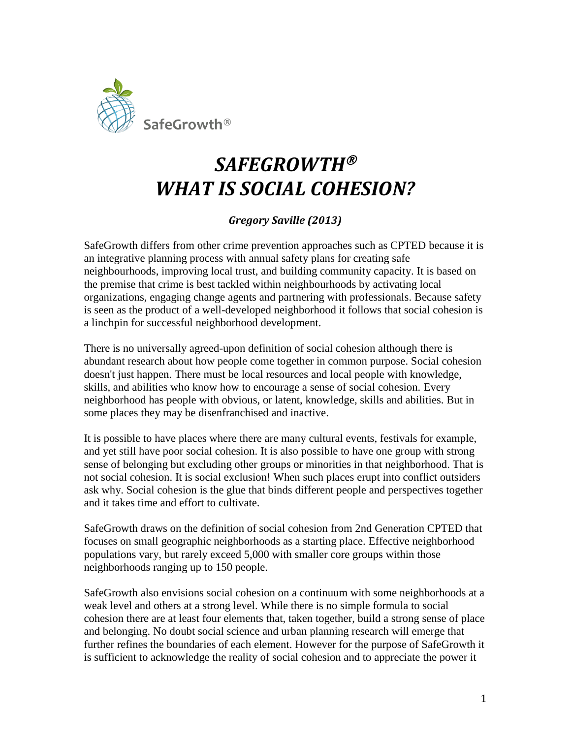

## *SAFEGROWTH WHAT IS SOCIAL COHESION?*

## *Gregory Saville (2013)*

SafeGrowth differs from other crime prevention approaches such as CPTED because it is an integrative planning process with annual safety plans for creating safe neighbourhoods, improving local trust, and building community capacity. It is based on the premise that crime is best tackled within neighbourhoods by activating local organizations, engaging change agents and partnering with professionals. Because safety is seen as the product of a well-developed neighborhood it follows that social cohesion is a linchpin for successful neighborhood development.

There is no universally agreed-upon definition of social cohesion although there is abundant research about how people come together in common purpose. Social cohesion doesn't just happen. There must be local resources and local people with knowledge, skills, and abilities who know how to encourage a sense of social cohesion. Every neighborhood has people with obvious, or latent, knowledge, skills and abilities. But in some places they may be disenfranchised and inactive.

It is possible to have places where there are many cultural events, festivals for example, and yet still have poor social cohesion. It is also possible to have one group with strong sense of belonging but excluding other groups or minorities in that neighborhood. That is not social cohesion. It is social exclusion! When such places erupt into conflict outsiders ask why. Social cohesion is the glue that binds different people and perspectives together and it takes time and effort to cultivate.

SafeGrowth draws on the definition of social cohesion from 2nd Generation CPTED that focuses on small geographic neighborhoods as a starting place. Effective neighborhood populations vary, but rarely exceed 5,000 with smaller core groups within those neighborhoods ranging up to 150 people.

SafeGrowth also envisions social cohesion on a continuum with some neighborhoods at a weak level and others at a strong level. While there is no simple formula to social cohesion there are at least four elements that, taken together, build a strong sense of place and belonging. No doubt social science and urban planning research will emerge that further refines the boundaries of each element. However for the purpose of SafeGrowth it is sufficient to acknowledge the reality of social cohesion and to appreciate the power it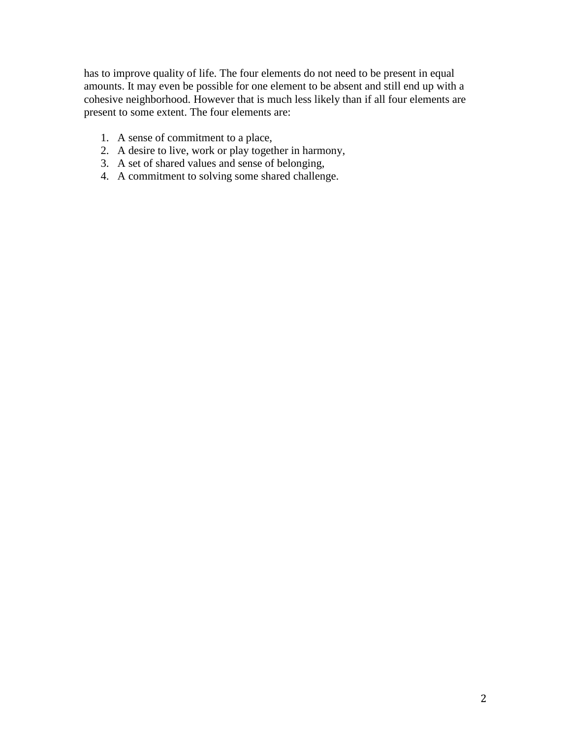has to improve quality of life. The four elements do not need to be present in equal amounts. It may even be possible for one element to be absent and still end up with a cohesive neighborhood. However that is much less likely than if all four elements are present to some extent. The four elements are:

- 1. A sense of commitment to a place,
- 2. A desire to live, work or play together in harmony,
- 3. A set of shared values and sense of belonging,
- 4. A commitment to solving some shared challenge.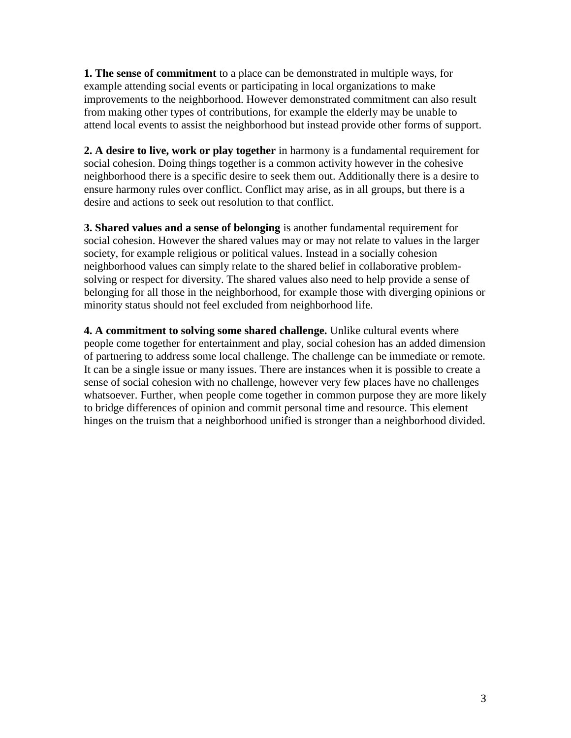**1. The sense of commitment** to a place can be demonstrated in multiple ways, for example attending social events or participating in local organizations to make improvements to the neighborhood. However demonstrated commitment can also result from making other types of contributions, for example the elderly may be unable to attend local events to assist the neighborhood but instead provide other forms of support.

**2. A desire to live, work or play together** in harmony is a fundamental requirement for social cohesion. Doing things together is a common activity however in the cohesive neighborhood there is a specific desire to seek them out. Additionally there is a desire to ensure harmony rules over conflict. Conflict may arise, as in all groups, but there is a desire and actions to seek out resolution to that conflict.

**3. Shared values and a sense of belonging** is another fundamental requirement for social cohesion. However the shared values may or may not relate to values in the larger society, for example religious or political values. Instead in a socially cohesion neighborhood values can simply relate to the shared belief in collaborative problemsolving or respect for diversity. The shared values also need to help provide a sense of belonging for all those in the neighborhood, for example those with diverging opinions or minority status should not feel excluded from neighborhood life.

**4. A commitment to solving some shared challenge.** Unlike cultural events where people come together for entertainment and play, social cohesion has an added dimension of partnering to address some local challenge. The challenge can be immediate or remote. It can be a single issue or many issues. There are instances when it is possible to create a sense of social cohesion with no challenge, however very few places have no challenges whatsoever. Further, when people come together in common purpose they are more likely to bridge differences of opinion and commit personal time and resource. This element hinges on the truism that a neighborhood unified is stronger than a neighborhood divided.